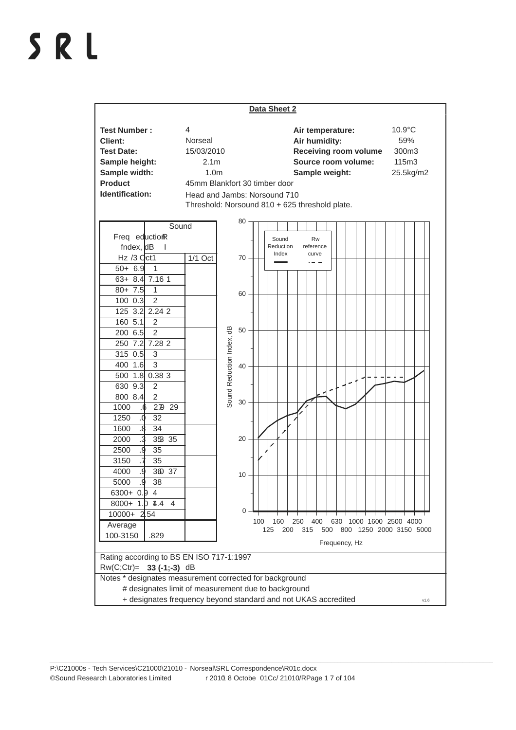## SRL

| Data Sheet 2                                                                                                                                                                                                                                                                                                                                                                                                                                                                                                                                                                                                                                         |                                                                    |                                                                                                                                                                                                                                                                                         |
|------------------------------------------------------------------------------------------------------------------------------------------------------------------------------------------------------------------------------------------------------------------------------------------------------------------------------------------------------------------------------------------------------------------------------------------------------------------------------------------------------------------------------------------------------------------------------------------------------------------------------------------------------|--------------------------------------------------------------------|-----------------------------------------------------------------------------------------------------------------------------------------------------------------------------------------------------------------------------------------------------------------------------------------|
| <b>Test Number:</b><br>Client:<br><b>Test Date:</b><br>Sample height:<br>Sample width:<br><b>Product</b><br>Identification:                                                                                                                                                                                                                                                                                                                                                                                                                                                                                                                          | 4<br>Norseal<br>15/03/2010<br>2.1 <sub>m</sub><br>1.0 <sub>m</sub> | $10.9^{\circ}$ C<br>Air temperature:<br>59%<br>Air humidity:<br><b>Receiving room volume</b><br>300m3<br>Source room volume:<br>115m3<br>Sample weight:<br>25.5kg/m2<br>45mm Blankfort 30 timber door<br>Head and Jambs: Norsound 710<br>Threshold: Norsound 810 + 625 threshold plate. |
| Sound<br>Freq eductionR<br>$f$ ndex, $dB$<br>$\mathbf{I}$<br>$Hz/3$ $Qct1$<br>$50 + 6.9$<br>$\mathbf{1}$<br>$63 + 8.4$ 7.16 1<br>$80 + 7.5$<br>$\mathbf{1}$<br>2<br>100 0.3<br>2.24 2<br>125 3.2<br>160 5.1<br>$\overline{2}$<br>$\overline{2}$<br>200 6.5<br>250 7.2 7.28 2<br>$\sqrt{3}$<br>315 0.5<br>400 1.6<br>3<br>500 1.8 0.38 3<br>630 9.3<br>2<br>$\overline{2}$<br>800 8.4<br>1000<br>279 29<br>32<br>1250<br>0.<br>34<br>1600<br>8.<br>353 35<br>2000<br>.3<br>2500<br>g.<br>35<br>3150<br>35<br>360 37<br>g.<br>4000<br>þ.<br>38<br>5000<br>$6300 + 0.94$<br>$8000+ 1.$ $\sqrt{14.4}$ 4<br>$10000 + 2154$<br>Average<br>100-3150<br>.829 | 1/1 Oct                                                            | 80<br><b>Rw</b><br>Sound<br>Reduction<br>reference<br>Index<br>curve<br>70<br>60<br>Sound Reduction Index, dB<br>50<br>40<br>30<br>20<br>10<br>0<br>400<br>630 1000 1600 2500 4000<br>100<br>160<br>250<br>500 800 1250 2000 3150 5000<br>125<br>200<br>315<br>Frequency, Hz            |
| Rating according to BS EN ISO 717-1:1997<br>Rw(C;Ctr)= 33 (-1;-3) dB<br>Notes * designates measurement corrected for background<br># designates limit of measurement due to background<br>+ designates frequency beyond standard and not UKAS accredited<br>V1.6                                                                                                                                                                                                                                                                                                                                                                                     |                                                                    |                                                                                                                                                                                                                                                                                         |

*\_\_\_\_\_\_\_\_\_\_\_\_\_\_\_\_\_\_\_\_\_\_\_\_\_\_\_\_\_\_\_\_\_\_\_\_\_\_\_\_\_\_\_\_\_\_\_\_\_\_\_\_\_\_\_\_\_\_\_\_\_\_\_\_\_\_\_\_\_\_\_\_\_\_\_\_\_\_\_\_\_\_\_\_\_\_\_\_\_\_\_\_\_\_\_\_\_\_\_\_\_\_\_\_\_\_\_\_\_\_\_\_\_\_\_\_\_\_\_\_\_\_\_\_\_\_\_\_\_\_\_*